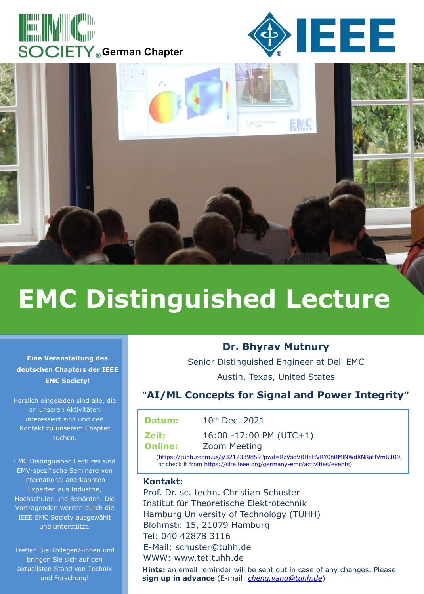





## **EMC Distinguished Lecture**

**Eine Veranstaltung des deutschen Chapters der IEEE EMC Society!**

Herzlich eingeladen sind alle, die an unseren Aktivitäten interessiert sind und den Kontakt zu unserem Chapter suchen.

EMC Distinguished Lectures sind EMV-spezifische Seminare von international anerkannten Experten aus Industrie, Hochschulen und Behörden. Die Vortragenden werden durch die IEEE EMC Society ausgewählt und unterstützt.

Treffen Sie Kollegen/-innen und bringen Sie sich auf den aktuellsten Stand von Technik und Forschung!

## **Dr. Bhyrav Mutnury**

Senior Distinguished Engineer at Dell EMC Austin, Texas, United States

## "**AI/ML Concepts for Signal and Power Integrity"**

| Datum:                                                                   | $10th$ Dec. 2021           |  |
|--------------------------------------------------------------------------|----------------------------|--|
| Zeit:                                                                    | $16:00 - 17:00$ PM (UTC+1) |  |
| <b>Online:</b>                                                           | <b>Zoom Meeting</b>        |  |
| (https://tuhh.zoom.us/j/3212339859?pwd=RzVsdVBHdHVRY0hRMINWdXNRaHVmUT09, |                            |  |

or check it from https://site.ieee.org/germany-emc/activities/events)

## **Kontakt:**

Prof. Dr. sc. techn. Christian Schuster Institut für Theoretische Elektrotechnik Hamburg University of Technology (TUHH) Blohmstr. 15, 21079 Hamburg Tel: 040 42878 3116 E-Mail: schuster@tuhh.de WWW: www.tet.tuhh.de

**Hints:** an email reminder will be sent out in case of any changes. Please **sign up in advance** (E-mail: *cheng.yang@tuhh.de*)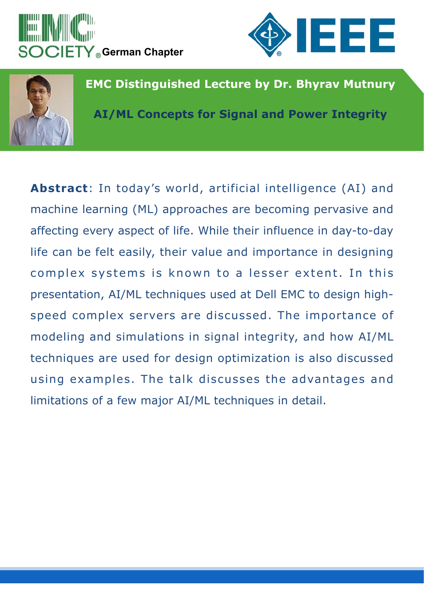





**EMC Distinguished Lecture by Dr. Bhyrav Mutnury**

**AI/ML Concepts for Signal and Power Integrity**

**Abstract**: In today's world, artificial intelligence (AI) and machine learning (ML) approaches are becoming pervasive and affecting every aspect of life. While their influence in day-to-day life can be felt easily, their value and importance in designing complex systems is known to a lesser extent. In this presentation, AI/ML techniques used at Dell EMC to design high speed complex servers are discussed. The importance of modeling and simulations in signal integrity, and how AI/ML techniques are used for design optimization is also discussed using examples. The talk discusses the advantages and limitations of a few major AI/ML techniques in detail.